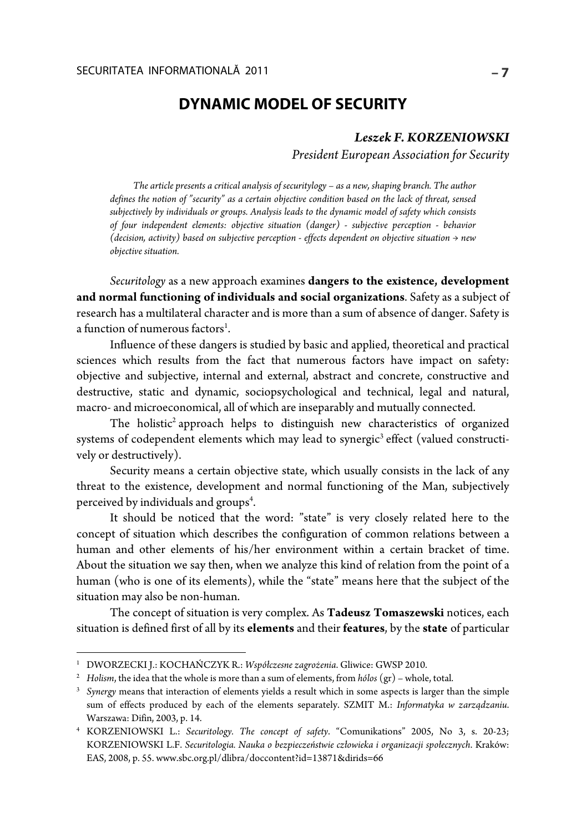# **DYNAMIC MODEL OF SECURITY**

## *Leszek F. KORZENIOWSKI*

*President European Association for Security* 

*The article presents a critical analysis of securitylogy – as a new, shaping branch. The author defines the notion of "security" as a certain objective condition based on the lack of threat, sensed subjectively by individuals or groups. Analysis leads to the dynamic model of safety which consists of four independent elements: objective situation (danger) - subjective perception - behavior (decision, activity) based on subjective perception - effects dependent on objective situation → new objective situation.* 

*Securitology* as a new approach examines **dangers to the existence, development and normal functioning of individuals and social organizations**. Safety as a subject of research has a multilateral character and is more than a sum of absence of danger. Safety is a function of numerous factors<sup>1</sup>.

Influence of these dangers is studied by basic and applied, theoretical and practical sciences which results from the fact that numerous factors have impact on safety: objective and subjective, internal and external, abstract and concrete, constructive and destructive, static and dynamic, sociopsychological and technical, legal and natural, macro- and microeconomical, all of which are inseparably and mutually connected.

The holistic<sup>2</sup> approach helps to distinguish new characteristics of organized systems of codependent elements which may lead to synergic<sup>3</sup> effect (valued constructively or destructively).

Security means a certain objective state, which usually consists in the lack of any threat to the existence, development and normal functioning of the Man, subjectively perceived by individuals and groups<sup>4</sup>.

It should be noticed that the word: "state" is very closely related here to the concept of situation which describes the configuration of common relations between a human and other elements of his/her environment within a certain bracket of time. About the situation we say then, when we analyze this kind of relation from the point of a human (who is one of its elements), while the "state" means here that the subject of the situation may also be non-human.

The concept of situation is very complex. As **Tadeusz Tomaszewski** notices, each situation is defined first of all by its **elements** and their **features**, by the **state** of particular

1

<sup>&</sup>lt;sup>1</sup> DWORZECKI J.: KOCHAŃCZYK R.: *Współczesne zagrożenia*. Gliwice: GWSP 2010.<br><sup>2</sup> Holism the idea that the whole is more than a sum of elements, from hólos (gr) – whole

<sup>&</sup>lt;sup>2</sup> Holism, the idea that the whole is more than a sum of elements, from  $h$ ólos (gr) – whole, total.

*Synergy* means that interaction of elements yields a result which in some aspects is larger than the simple sum of effects produced by each of the elements separately. SZMIT M.: *Informatyka w zarządzaniu*. Warszawa: Difin, 2003, p. 14.

KORZENIOWSKI L.: *Securitology. The concept of safety*. "Comunikations" 2005, No 3, s. 20-23; KORZENIOWSKI L.F. *Securitologia. Nauka o bezpieczeństwie człowieka i organizacji społecznych*. Kraków: EAS, 2008, p. 55. www.sbc.org.pl/dlibra/doccontent?id=13871&dirids=66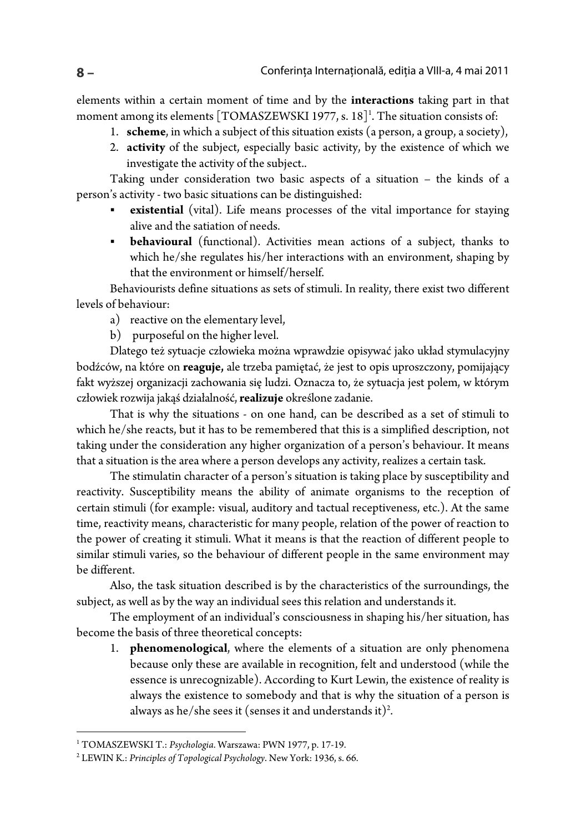elements within a certain moment of time and by the **interactions** taking part in that moment among its elements [TOMASZEWSKI 1977, s. 18]<sup>1</sup>. The situation consists of:

- 1. **scheme**, in which a subject of this situation exists (a person, a group, a society),
- 2. **activity** of the subject, especially basic activity, by the existence of which we investigate the activity of the subject..

Taking under consideration two basic aspects of a situation – the kinds of a person's activity - two basic situations can be distinguished:

- **existential** (vital). Life means processes of the vital importance for staying alive and the satiation of needs.
- **behavioural** (functional). Activities mean actions of a subject, thanks to which he/she regulates his/her interactions with an environment, shaping by that the environment or himself/herself.

Behaviourists define situations as sets of stimuli. In reality, there exist two different levels of behaviour:

- a) reactive on the elementary level,
- b) purposeful on the higher level.

Dlatego też sytuacje człowieka można wprawdzie opisywać jako układ stymulacyjny bodźców, na które on **reaguje,** ale trzeba pamiętać, że jest to opis uproszczony, pomijający fakt wyższej organizacji zachowania się ludzi. Oznacza to, że sytuacja jest polem, w którym człowiek rozwija jakąś działalność, **realizuje** określone zadanie.

That is why the situations - on one hand, can be described as a set of stimuli to which he/she reacts, but it has to be remembered that this is a simplified description, not taking under the consideration any higher organization of a person's behaviour. It means that a situation is the area where a person develops any activity, realizes a certain task.

The stimulatin character of a person's situation is taking place by susceptibility and reactivity. Susceptibility means the ability of animate organisms to the reception of certain stimuli (for example: visual, auditory and tactual receptiveness, etc.). At the same time, reactivity means, characteristic for many people, relation of the power of reaction to the power of creating it stimuli. What it means is that the reaction of different people to similar stimuli varies, so the behaviour of different people in the same environment may be different.

Also, the task situation described is by the characteristics of the surroundings, the subject, as well as by the way an individual sees this relation and understands it.

The employment of an individual's consciousness in shaping his/her situation, has become the basis of three theoretical concepts:

1. **phenomenological**, where the elements of a situation are only phenomena because only these are available in recognition, felt and understood (while the essence is unrecognizable). According to Kurt Lewin, the existence of reality is always the existence to somebody and that is why the situation of a person is always as he/she sees it (senses it and understands it)<sup>2</sup>.

1

<sup>&</sup>lt;sup>1</sup> TOMASZEWSKI T.: *Psychologia.* Warszawa: PWN 1977, p. 17-19.<br><sup>2</sup> I EWIN K · Principles of Topological Psychology New York: 1936, s. 1

LEWIN K.: *Principles of Topological Psychology*. New York: 1936, s. 66.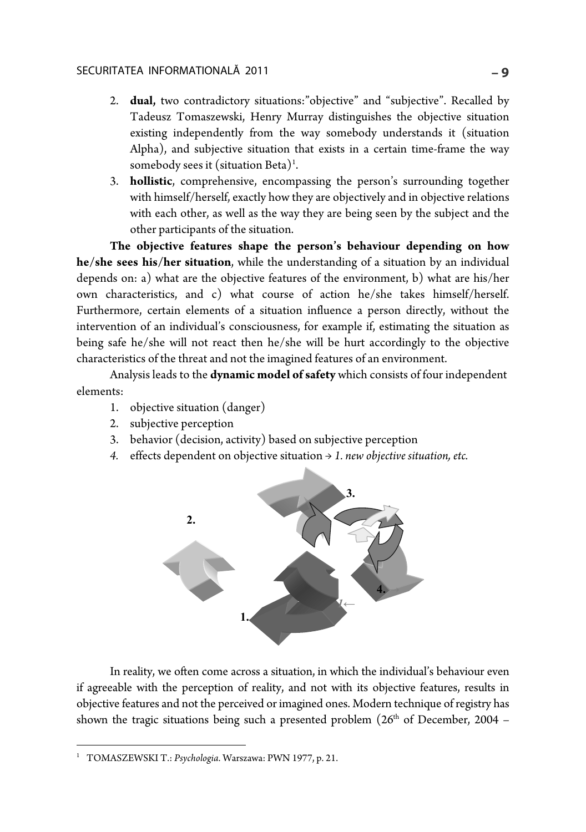- 2. **dual,** two contradictory situations:"objective" and "subjective". Recalled by Tadeusz Tomaszewski, Henry Murray distinguishes the objective situation existing independently from the way somebody understands it (situation Alpha), and subjective situation that exists in a certain time-frame the way somebody sees it (situation Beta)<sup>1</sup>.
- 3. **hollistic**, comprehensive, encompassing the person's surrounding together with himself/herself, exactly how they are objectively and in objective relations with each other, as well as the way they are being seen by the subject and the other participants of the situation.

**The objective features shape the person's behaviour depending on how he/she sees his/her situation**, while the understanding of a situation by an individual depends on: a) what are the objective features of the environment, b) what are his/her own characteristics, and c) what course of action he/she takes himself/herself. Furthermore, certain elements of a situation influence a person directly, without the intervention of an individual's consciousness, for example if, estimating the situation as being safe he/she will not react then he/she will be hurt accordingly to the objective characteristics of the threat and not the imagined features of an environment.

Analysis leads to the **dynamic model of safety** which consists of four independent elements:

- 1. objective situation (danger)
- 2. subjective perception
- 3. behavior (decision, activity) based on subjective perception
- *4.* effects dependent on objective situation → *1. new objective situation, etc.*



In reality, we often come across a situation, in which the individual's behaviour even if agreeable with the perception of reality, and not with its objective features, results in objective features and not the perceived or imagined ones. Modern technique of registry has shown the tragic situations being such a presented problem  $(26<sup>th</sup>$  of December, 2004 –

1

<sup>1</sup> TOMASZEWSKI T.: *Psychologia*. Warszawa: PWN 1977, p. 21.